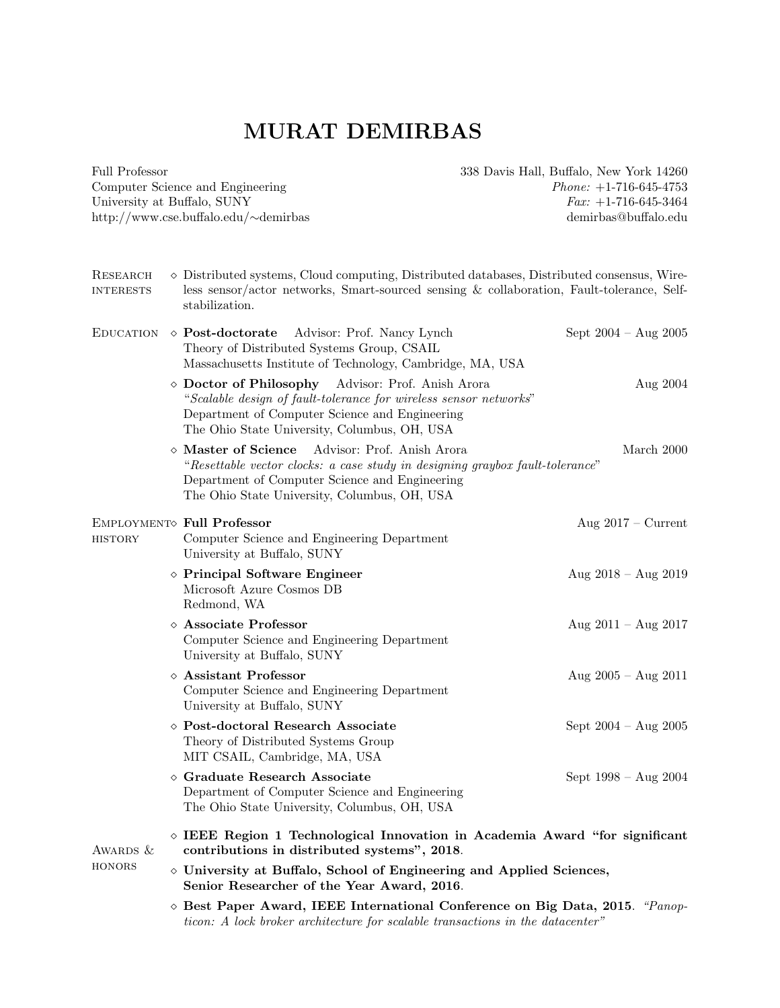Full Professor Computer Science and Engineering University at Buffalo, SUNY http://www.cse.buffalo.edu/∼demirbas 338 Davis Hall, Buffalo, New York 14260 Phone: +1-716-645-4753  $Fax: +1-716-645-3464$ demirbas@buffalo.edu

| RESEARCH<br><b>INTERESTS</b> |  | $\diamond$ Distributed systems, Cloud computing, Distributed databases, Distributed consensus, Wire-<br>less sensor/actor networks, Smart-sourced sensing & collaboration, Fault-tolerance, Self-<br>stabilization.                           |                                 |
|------------------------------|--|-----------------------------------------------------------------------------------------------------------------------------------------------------------------------------------------------------------------------------------------------|---------------------------------|
|                              |  | $E$ DUCATION $\diamond$ <b>Post-doctorate</b><br>Advisor: Prof. Nancy Lynch<br>Theory of Distributed Systems Group, CSAIL<br>Massachusetts Institute of Technology, Cambridge, MA, USA                                                        | Sept $2004 - Aug\ 2005$         |
|                              |  | ◇ Doctor of Philosophy Advisor: Prof. Anish Arora<br>"Scalable design of fault-tolerance for wireless sensor networks"<br>Department of Computer Science and Engineering<br>The Ohio State University, Columbus, OH, USA                      | Aug 2004                        |
|                              |  | $\diamond$ Master of Science<br>Advisor: Prof. Anish Arora<br>"Resettable vector clocks: a case study in designing graybox fault-tolerance"<br>Department of Computer Science and Engineering<br>The Ohio State University, Columbus, OH, USA | March 2000                      |
| <b>HISTORY</b>               |  | EMPLOYMENT Full Professor<br>Computer Science and Engineering Department<br>University at Buffalo, SUNY                                                                                                                                       | Aug $2017 -$ Current            |
|                              |  | $\diamond$ Principal Software Engineer<br>Microsoft Azure Cosmos DB<br>Redmond, WA                                                                                                                                                            | Aug $2018 -$ Aug $2019$         |
|                              |  | $\diamond$ Associate Professor<br>Computer Science and Engineering Department<br>University at Buffalo, SUNY                                                                                                                                  | Aug $2011 -$ Aug $2017$         |
|                              |  | $\diamond$ Assistant Professor<br>Computer Science and Engineering Department<br>University at Buffalo, SUNY                                                                                                                                  | Aug $2005 - Aug 2011$           |
|                              |  | ◇ Post-doctoral Research Associate<br>Theory of Distributed Systems Group<br>MIT CSAIL, Cambridge, MA, USA                                                                                                                                    | Sept $2004$ – $\rm{Aug}$ $2005$ |
|                              |  | $\diamond$ Graduate Research Associate<br>Department of Computer Science and Engineering<br>The Ohio State University, Columbus, OH, USA                                                                                                      | Sept $1998 - Aug 2004$          |
| AWARDS &                     |  | $\diamond$ IEEE Region 1 Technological Innovation in Academia Award "for significant<br>contributions in distributed systems", 2018.                                                                                                          |                                 |
| <b>HONORS</b>                |  | ◇ University at Buffalo, School of Engineering and Applied Sciences,<br>Senior Researcher of the Year Award, 2016.                                                                                                                            |                                 |
|                              |  | ◇ Best Paper Award, IEEE International Conference on Big Data, 2015. "Panop-                                                                                                                                                                  |                                 |

ticon: A lock broker architecture for scalable transactions in the datacenter"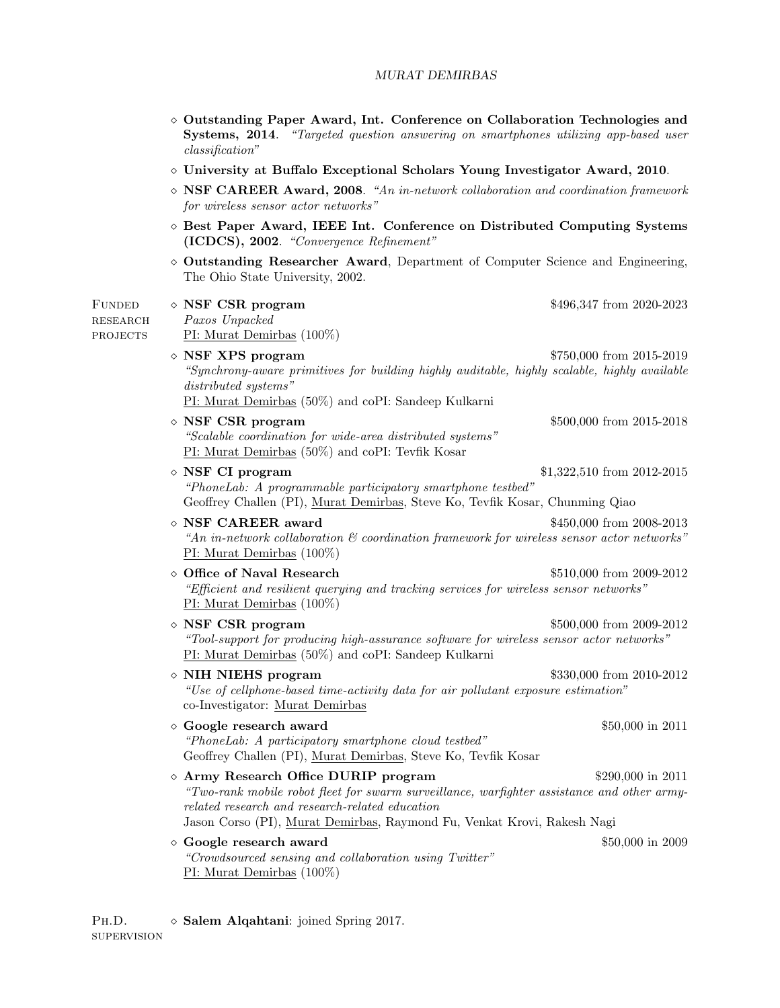- $\diamond$  Outstanding Paper Award, Int. Conference on Collaboration Technologies and Systems, 2014. "Targeted question answering on smartphones utilizing app-based user classification"
- $\diamond$  University at Buffalo Exceptional Scholars Young Investigator Award, 2010.
- NSF CAREER Award, 2008. "An in-network collaboration and coordination framework for wireless sensor actor networks"
- $\diamond$  Best Paper Award, IEEE Int. Conference on Distributed Computing Systems (ICDCS), 2002. "Convergence Refinement"
- $\Diamond$  Outstanding Researcher Award, Department of Computer Science and Engineering, The Ohio State University, 2002.

| <b>FUNDED</b><br><b>RESEARCH</b><br><b>PROJECTS</b> | $\diamond$ NSF CSR program<br>Paxos Unpacked<br>$PI: Murat Demirbas (100\%)$                                                                                                                                                                                     | \$496,347 from 2020-2023   |
|-----------------------------------------------------|------------------------------------------------------------------------------------------------------------------------------------------------------------------------------------------------------------------------------------------------------------------|----------------------------|
|                                                     | $\diamond$ NSF XPS program<br>"Synchrony-aware primitives for building highly auditable, highly scalable, highly available<br>distributed systems"<br>PI: Murat Demirbas (50%) and coPI: Sandeep Kulkarni                                                        | \$750,000 from 2015-2019   |
|                                                     | $\diamond$ NSF CSR program<br>"Scalable coordination for wide-area distributed systems"<br>PI: Murat Demirbas (50%) and coPI: Tevfik Kosar                                                                                                                       | \$500,000 from 2015-2018   |
|                                                     | $\diamond$ NSF CI program<br>"PhoneLab: A programmable participatory smartphone testbed"<br>Geoffrey Challen (PI), Murat Demirbas, Steve Ko, Tevfik Kosar, Chunming Qiao                                                                                         | \$1,322,510 from 2012-2015 |
|                                                     | $\diamond$ NSF CAREER award<br>"An in-network collaboration $\mathcal C$ coordination framework for wireless sensor actor networks"<br>$PI: Murat Demirbas (100\%)$                                                                                              | \$450,000 from 2008-2013   |
|                                                     | ◇ Office of Naval Research<br>"Efficient and resilient querying and tracking services for wireless sensor networks"<br>PI: Murat Demirbas $(100\%)$                                                                                                              | \$510,000 from 2009-2012   |
|                                                     | $\diamond$ NSF CSR program<br>"Tool-support for producing high-assurance software for wireless sensor actor networks"<br>PI: Murat Demirbas (50%) and coPI: Sandeep Kulkarni                                                                                     | \$500,000 from 2009-2012   |
|                                                     | $\diamond$ NIH NIEHS program<br>"Use of cellphone-based time-activity data for air pollutant exposure estimation"<br>co-Investigator: Murat Demirbas                                                                                                             | \$330,000 from 2010-2012   |
|                                                     | $\diamond$ Google research award<br>"PhoneLab: A participatory smartphone cloud testbed"<br>Geoffrey Challen (PI), Murat Demirbas, Steve Ko, Tevfik Kosar                                                                                                        | \$50,000 in 2011           |
|                                                     | ◇ Army Research Office DURIP program<br>"Two-rank mobile robot fleet for swarm surveillance, warfighter assistance and other army-<br>related research and research-related education<br>Jason Corso (PI), Murat Demirbas, Raymond Fu, Venkat Krovi, Rakesh Nagi | \$290,000 in 2011          |
|                                                     | $\diamond$ Google research award<br>"Crowdsourced sensing and collaboration using Twitter"<br>PI: Murat Demirbas $(100\%)$                                                                                                                                       | \$50,000 in 2009           |

PH.D.  $\Diamond$  Salem Alqahtani: joined Spring 2017. supervision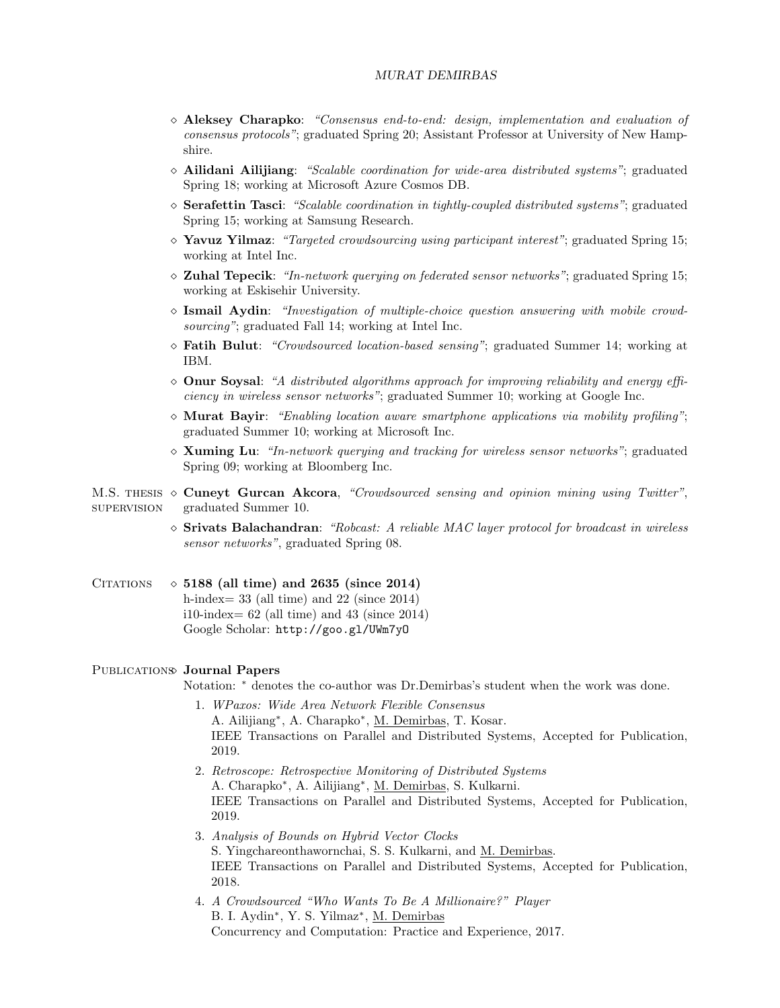- $\diamond$  Aleksey Charapko: "Consensus end-to-end: design, implementation and evaluation of consensus protocols"; graduated Spring 20; Assistant Professor at University of New Hampshire.
- $\Diamond$  Ailidani Ailijiang: "Scalable coordination for wide-area distributed systems"; graduated Spring 18; working at Microsoft Azure Cosmos DB.
- $\Diamond$  Serafettin Tasci: "Scalable coordination in tightly-coupled distributed systems"; graduated Spring 15; working at Samsung Research.
- $\Diamond$  Yavuz Yilmaz: "Targeted crowdsourcing using participant interest"; graduated Spring 15; working at Intel Inc.
- $\Diamond$  Zuhal Tepecik: "In-network querying on federated sensor networks"; graduated Spring 15; working at Eskisehir University.
- $\Diamond$  Ismail Aydin: "Investigation of multiple-choice question answering with mobile crowdsourcing"; graduated Fall 14; working at Intel Inc.
- $\Diamond$  Fatih Bulut: "Crowdsourced location-based sensing"; graduated Summer 14; working at IBM.
- $\Diamond$  Onur Soysal: "A distributed algorithms approach for improving reliability and energy efficiency in wireless sensor networks"; graduated Summer 10; working at Google Inc.
- $\Diamond$  Murat Bayir: "Enabling location aware smartphone applications via mobility profiling"; graduated Summer 10; working at Microsoft Inc.
- $\Diamond$  Xuming Lu: "In-network querying and tracking for wireless sensor networks"; graduated Spring 09; working at Bloomberg Inc.

M.S. THESIS  $\diamond$  Cuneyt Gurcan Akcora, "Crowdsourced sensing and opinion mining using Twitter", supervision graduated Summer 10.

- $\Diamond$  Srivats Balachandran: "Robcast: A reliable MAC layer protocol for broadcast in wireless sensor networks", graduated Spring 08.
- CITATIONS  $\Diamond$  5188 (all time) and 2635 (since 2014) h-index= 33 (all time) and 22 (since 2014) i10-index=  $62$  (all time) and  $43$  (since  $2014$ ) Google Scholar: http://goo.gl/UWm7yO

# PUBLICATIONS Journal Papers

Notation: <sup>∗</sup> denotes the co-author was Dr.Demirbas's student when the work was done.

- 1. WPaxos: Wide Area Network Flexible Consensus A. Ailijiang<sup>∗</sup> , A. Charapko<sup>∗</sup> , M. Demirbas, T. Kosar. IEEE Transactions on Parallel and Distributed Systems, Accepted for Publication, 2019.
- 2. Retroscope: Retrospective Monitoring of Distributed Systems A. Charapko<sup>∗</sup> , A. Ailijiang<sup>∗</sup> , M. Demirbas, S. Kulkarni. IEEE Transactions on Parallel and Distributed Systems, Accepted for Publication, 2019.
- 3. Analysis of Bounds on Hybrid Vector Clocks S. Yingchareonthawornchai, S. S. Kulkarni, and M. Demirbas. IEEE Transactions on Parallel and Distributed Systems, Accepted for Publication, 2018.
- 4. A Crowdsourced "Who Wants To Be A Millionaire?" Player B. I. Aydin<sup>\*</sup>, Y. S. Yilmaz<sup>\*</sup>, M. Demirbas Concurrency and Computation: Practice and Experience, 2017.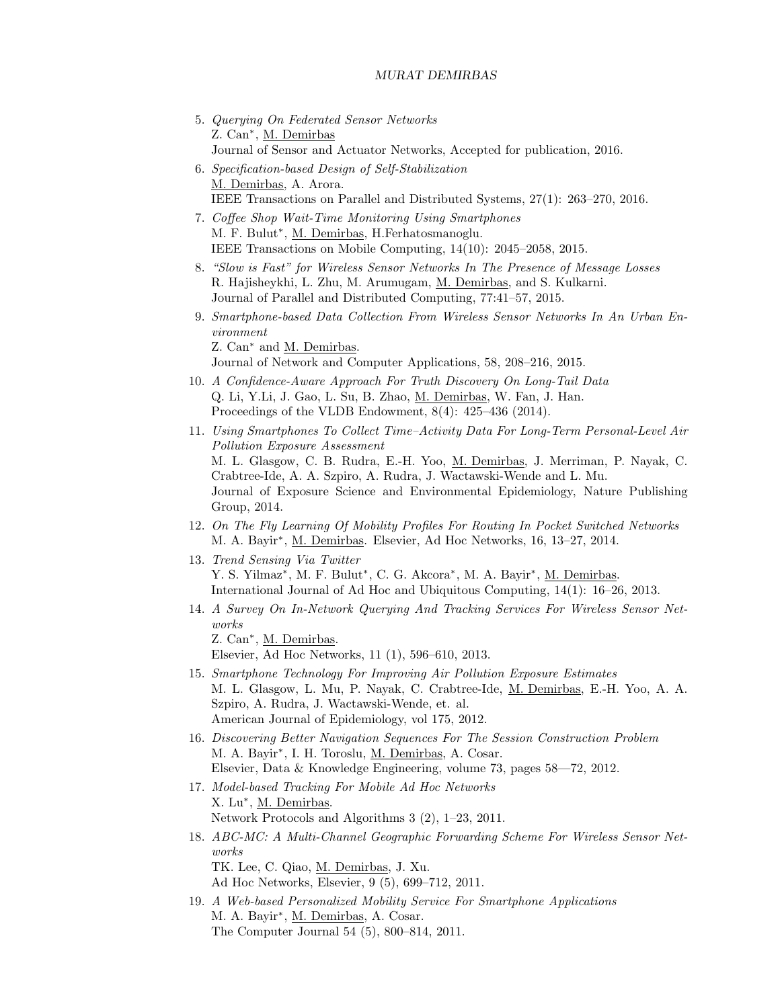- 5. Querying On Federated Sensor Networks Z. Can<sup>\*</sup>, M. Demirbas Journal of Sensor and Actuator Networks, Accepted for publication, 2016.
- 6. Specification-based Design of Self-Stabilization M. Demirbas, A. Arora. IEEE Transactions on Parallel and Distributed Systems, 27(1): 263–270, 2016.
- 7. Coffee Shop Wait-Time Monitoring Using Smartphones M. F. Bulut<sup>\*</sup>, M. Demirbas, H. Ferhatosmanoglu. IEEE Transactions on Mobile Computing, 14(10): 2045–2058, 2015.
- 8. "Slow is Fast" for Wireless Sensor Networks In The Presence of Message Losses R. Hajisheykhi, L. Zhu, M. Arumugam, M. Demirbas, and S. Kulkarni. Journal of Parallel and Distributed Computing, 77:41–57, 2015.
- 9. Smartphone-based Data Collection From Wireless Sensor Networks In An Urban Environment

Z. Can<sup>∗</sup> and M. Demirbas.

Journal of Network and Computer Applications, 58, 208–216, 2015.

- 10. A Confidence-Aware Approach For Truth Discovery On Long-Tail Data Q. Li, Y.Li, J. Gao, L. Su, B. Zhao, M. Demirbas, W. Fan, J. Han. Proceedings of the VLDB Endowment, 8(4): 425–436 (2014).
- 11. Using Smartphones To Collect Time–Activity Data For Long-Term Personal-Level Air Pollution Exposure Assessment M. L. Glasgow, C. B. Rudra, E.-H. Yoo, M. Demirbas, J. Merriman, P. Nayak, C. Crabtree-Ide, A. A. Szpiro, A. Rudra, J. Wactawski-Wende and L. Mu. Journal of Exposure Science and Environmental Epidemiology, Nature Publishing Group, 2014.
- 12. On The Fly Learning Of Mobility Profiles For Routing In Pocket Switched Networks M. A. Bayir<sup>\*</sup>, M. Demirbas. Elsevier, Ad Hoc Networks, 16, 13–27, 2014.
- 13. Trend Sensing Via Twitter Y. S. Yilmaz<sup>\*</sup>, M. F. Bulut<sup>\*</sup>, C. G. Akcora<sup>\*</sup>, M. A. Bayir<sup>\*</sup>, M. Demirbas. International Journal of Ad Hoc and Ubiquitous Computing, 14(1): 16–26, 2013.
- 14. A Survey On In-Network Querying And Tracking Services For Wireless Sensor Networks

Z. Can<sup>\*</sup>, M. Demirbas. Elsevier, Ad Hoc Networks, 11 (1), 596–610, 2013.

- 15. Smartphone Technology For Improving Air Pollution Exposure Estimates M. L. Glasgow, L. Mu, P. Nayak, C. Crabtree-Ide, M. Demirbas, E.-H. Yoo, A. A. Szpiro, A. Rudra, J. Wactawski-Wende, et. al. American Journal of Epidemiology, vol 175, 2012.
- 16. Discovering Better Navigation Sequences For The Session Construction Problem M. A. Bayir<sup>\*</sup>, I. H. Toroslu, <u>M. Demirbas</u>, A. Cosar. Elsevier, Data & Knowledge Engineering, volume 73, pages 58—72, 2012.
- 17. Model-based Tracking For Mobile Ad Hoc Networks X. Lu<sup>\*</sup>, <u>M. Demirbas</u>. Network Protocols and Algorithms 3 (2), 1–23, 2011.
- 18. ABC-MC: A Multi-Channel Geographic Forwarding Scheme For Wireless Sensor Networks TK. Lee, C. Qiao, M. Demirbas, J. Xu. Ad Hoc Networks, Elsevier, 9 (5), 699–712, 2011.
- 19. A Web-based Personalized Mobility Service For Smartphone Applications M. A. Bayir<sup>\*</sup>, M. Demirbas, A. Cosar. The Computer Journal 54 (5), 800–814, 2011.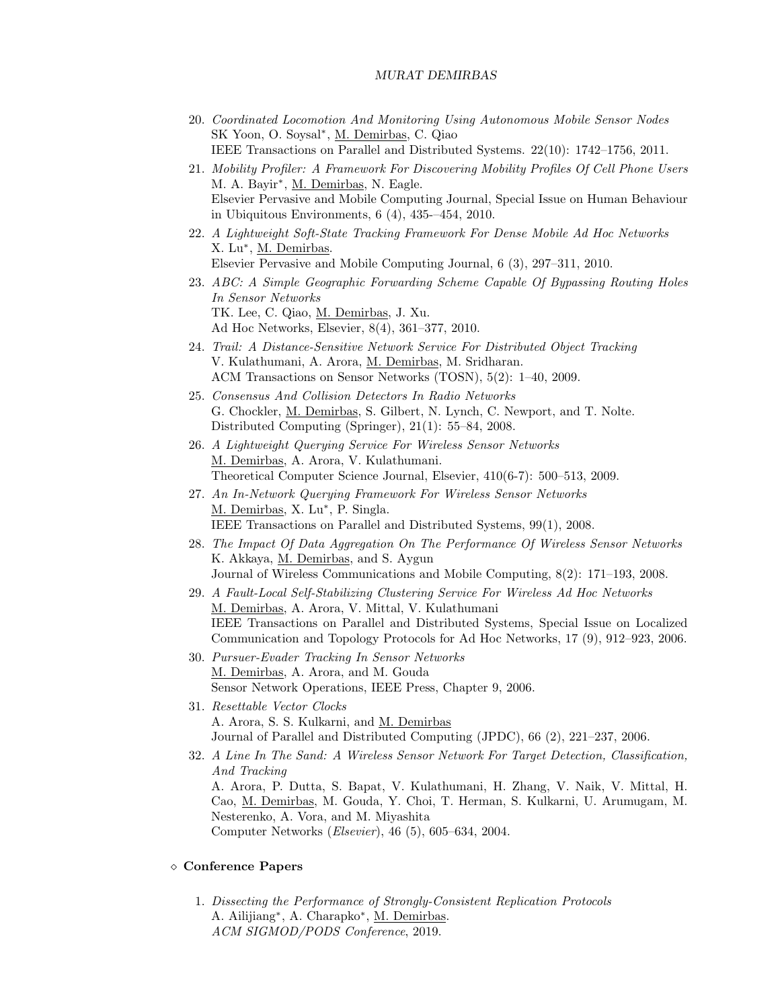- 20. Coordinated Locomotion And Monitoring Using Autonomous Mobile Sensor Nodes SK Yoon, O. Soysal<sup>∗</sup> , M. Demirbas, C. Qiao IEEE Transactions on Parallel and Distributed Systems. 22(10): 1742–1756, 2011.
- 21. Mobility Profiler: A Framework For Discovering Mobility Profiles Of Cell Phone Users M. A. Bayir<sup>\*</sup>, M. Demirbas, N. Eagle. Elsevier Pervasive and Mobile Computing Journal, Special Issue on Human Behaviour in Ubiquitous Environments, 6 (4), 435-–454, 2010.
- 22. A Lightweight Soft-State Tracking Framework For Dense Mobile Ad Hoc Networks X. Lu<sup>\*</sup>, <u>M. Demirbas</u>. Elsevier Pervasive and Mobile Computing Journal, 6 (3), 297–311, 2010.
- 23. ABC: A Simple Geographic Forwarding Scheme Capable Of Bypassing Routing Holes In Sensor Networks TK. Lee, C. Qiao, M. Demirbas, J. Xu. Ad Hoc Networks, Elsevier, 8(4), 361–377, 2010.
- 24. Trail: A Distance-Sensitive Network Service For Distributed Object Tracking V. Kulathumani, A. Arora, M. Demirbas, M. Sridharan. ACM Transactions on Sensor Networks (TOSN), 5(2): 1–40, 2009.
- 25. Consensus And Collision Detectors In Radio Networks G. Chockler, M. Demirbas, S. Gilbert, N. Lynch, C. Newport, and T. Nolte. Distributed Computing (Springer), 21(1): 55–84, 2008.
- 26. A Lightweight Querying Service For Wireless Sensor Networks M. Demirbas, A. Arora, V. Kulathumani. Theoretical Computer Science Journal, Elsevier, 410(6-7): 500–513, 2009.
- 27. An In-Network Querying Framework For Wireless Sensor Networks M. Demirbas, X. Lu<sup>\*</sup>, P. Singla. IEEE Transactions on Parallel and Distributed Systems, 99(1), 2008.
- 28. The Impact Of Data Aggregation On The Performance Of Wireless Sensor Networks K. Akkaya, M. Demirbas, and S. Aygun Journal of Wireless Communications and Mobile Computing, 8(2): 171–193, 2008.
- 29. A Fault-Local Self-Stabilizing Clustering Service For Wireless Ad Hoc Networks M. Demirbas, A. Arora, V. Mittal, V. Kulathumani IEEE Transactions on Parallel and Distributed Systems, Special Issue on Localized Communication and Topology Protocols for Ad Hoc Networks, 17 (9), 912–923, 2006.
- 30. Pursuer-Evader Tracking In Sensor Networks M. Demirbas, A. Arora, and M. Gouda Sensor Network Operations, IEEE Press, Chapter 9, 2006.
- 31. Resettable Vector Clocks A. Arora, S. S. Kulkarni, and M. Demirbas Journal of Parallel and Distributed Computing (JPDC), 66 (2), 221–237, 2006.
- 32. A Line In The Sand: A Wireless Sensor Network For Target Detection, Classification, And Tracking A. Arora, P. Dutta, S. Bapat, V. Kulathumani, H. Zhang, V. Naik, V. Mittal, H. Cao, M. Demirbas, M. Gouda, Y. Choi, T. Herman, S. Kulkarni, U. Arumugam, M. Nesterenko, A. Vora, and M. Miyashita Computer Networks (Elsevier), 46 (5), 605–634, 2004.

#### Conference Papers

1. Dissecting the Performance of Strongly-Consistent Replication Protocols A. Ailijiang<sup>∗</sup> , A. Charapko<sup>∗</sup> , M. Demirbas. ACM SIGMOD/PODS Conference, 2019.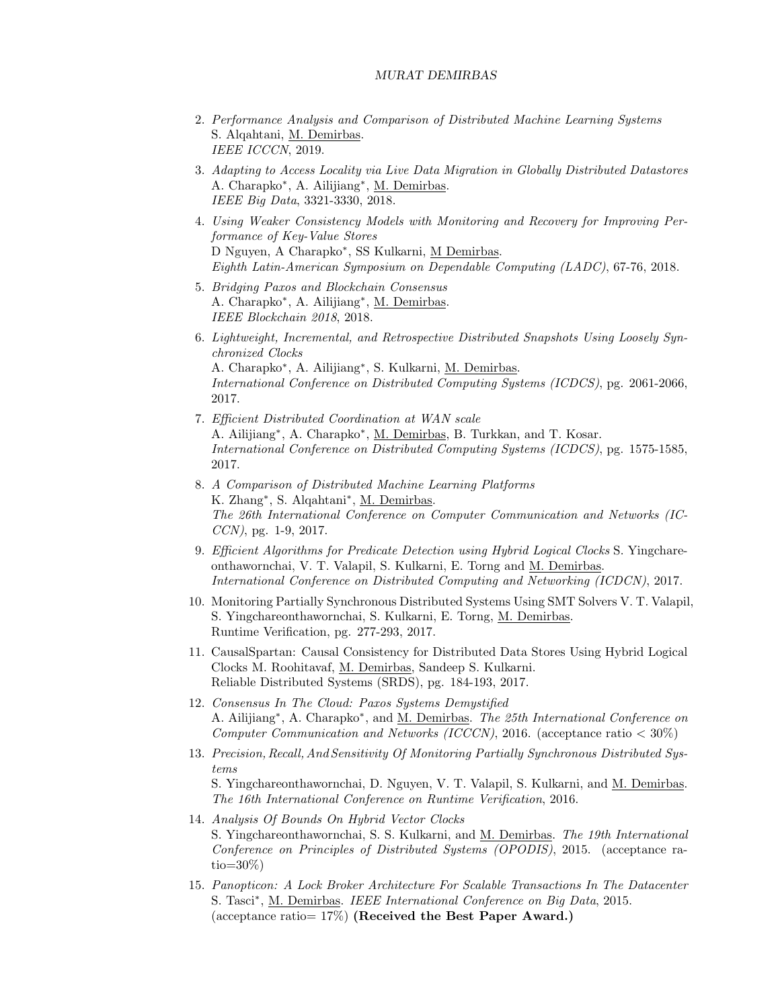- 2. Performance Analysis and Comparison of Distributed Machine Learning Systems S. Alqahtani, M. Demirbas. IEEE ICCCN, 2019.
- 3. Adapting to Access Locality via Live Data Migration in Globally Distributed Datastores A. Charapko<sup>∗</sup> , A. Ailijiang<sup>∗</sup> , M. Demirbas. IEEE Big Data, 3321-3330, 2018.
- 4. Using Weaker Consistency Models with Monitoring and Recovery for Improving Performance of Key-Value Stores D Nguyen, A Charapko<sup>∗</sup> , SS Kulkarni, M Demirbas. Eighth Latin-American Symposium on Dependable Computing (LADC), 67-76, 2018.
- 5. Bridging Paxos and Blockchain Consensus A. Charapko<sup>∗</sup> , A. Ailijiang<sup>∗</sup> , M. Demirbas. IEEE Blockchain 2018, 2018.
- 6. Lightweight, Incremental, and Retrospective Distributed Snapshots Using Loosely Synchronized Clocks

A. Charapko<sup>∗</sup> , A. Ailijiang<sup>∗</sup> , S. Kulkarni, M. Demirbas. International Conference on Distributed Computing Systems (ICDCS), pg. 2061-2066, 2017.

- 7. Efficient Distributed Coordination at WAN scale A. Ailijiang<sup>\*</sup>, A. Charapko<sup>\*</sup>, <u>M. Demirbas</u>, B. Turkkan, and T. Kosar. International Conference on Distributed Computing Systems (ICDCS), pg. 1575-1585, 2017.
- 8. A Comparison of Distributed Machine Learning Platforms K. Zhang<sup>\*</sup>, S. Alqahtani<sup>\*</sup>, <u>M. Demirbas</u>. The 26th International Conference on Computer Communication and Networks (IC-CCN), pg. 1-9, 2017.
- 9. Efficient Algorithms for Predicate Detection using Hybrid Logical Clocks S. Yingchareonthawornchai, V. T. Valapil, S. Kulkarni, E. Torng and M. Demirbas. International Conference on Distributed Computing and Networking (ICDCN), 2017.
- 10. Monitoring Partially Synchronous Distributed Systems Using SMT Solvers V. T. Valapil, S. Yingchareonthawornchai, S. Kulkarni, E. Torng, M. Demirbas. Runtime Verification, pg. 277-293, 2017.
- 11. CausalSpartan: Causal Consistency for Distributed Data Stores Using Hybrid Logical Clocks M. Roohitavaf, M. Demirbas, Sandeep S. Kulkarni. Reliable Distributed Systems (SRDS), pg. 184-193, 2017.
- 12. Consensus In The Cloud: Paxos Systems Demystified A. Ailijiang<sup>\*</sup>, A. Charapko<sup>\*</sup>, and <u>M. Demirbas</u>. The 25th International Conference on Computer Communication and Networks (ICCCN), 2016. (acceptance ratio  $<$  30%)
- 13. Precision, Recall, And Sensitivity Of Monitoring Partially Synchronous Distributed Systems S. Yingchareonthawornchai, D. Nguyen, V. T. Valapil, S. Kulkarni, and M. Demirbas. The 16th International Conference on Runtime Verification, 2016.
- 14. Analysis Of Bounds On Hybrid Vector Clocks S. Yingchareonthawornchai, S. S. Kulkarni, and M. Demirbas. The 19th International Conference on Principles of Distributed Systems (OPODIS), 2015. (acceptance ra- $\text{tio}=30\%$ )
- 15. Panopticon: A Lock Broker Architecture For Scalable Transactions In The Datacenter S. Tasci<sup>\*</sup>, M. Demirbas. IEEE International Conference on Big Data, 2015. (acceptance ratio=  $17\%$ ) (Received the Best Paper Award.)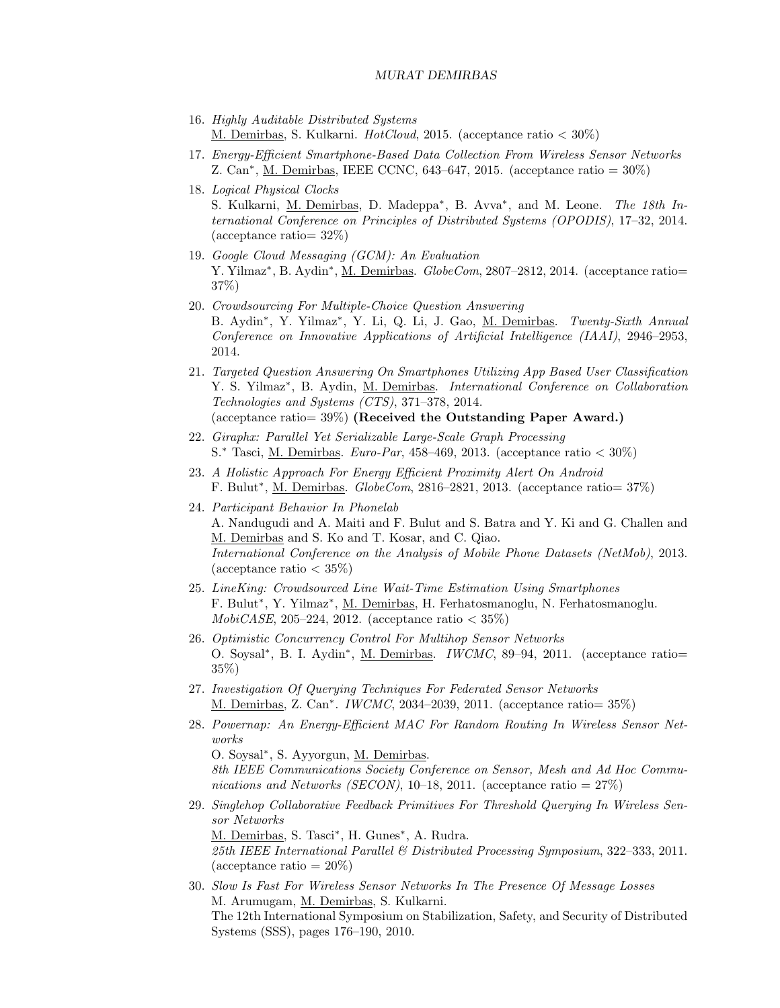- 16. Highly Auditable Distributed Systems M. Demirbas, S. Kulkarni. HotCloud, 2015. (acceptance ratio < 30%)
- 17. Energy-Efficient Smartphone-Based Data Collection From Wireless Sensor Networks Z. Can<sup>∗</sup> , M. Demirbas, IEEE CCNC, 643–647, 2015. (acceptance ratio = 30%)
- 18. Logical Physical Clocks S. Kulkarni, M. Demirbas, D. Madeppa<sup>\*</sup>, B. Avva<sup>\*</sup>, and M. Leone. The 18th International Conference on Principles of Distributed Systems (OPODIS), 17–32, 2014. (acceptance ratio= 32%)
- 19. Google Cloud Messaging (GCM): An Evaluation Y. Yilmaz<sup>\*</sup>, B. Aydin<sup>\*</sup>, <u>M. Demirbas</u>. *GlobeCom*, 2807-2812, 2014. (acceptance ratio= 37%)
- 20. Crowdsourcing For Multiple-Choice Question Answering B. Aydin<sup>\*</sup>, Y. Yilmaz<sup>\*</sup>, Y. Li, Q. Li, J. Gao, <u>M. Demirbas</u>. Twenty-Sixth Annual Conference on Innovative Applications of Artificial Intelligence (IAAI), 2946–2953, 2014.
- 21. Targeted Question Answering On Smartphones Utilizing App Based User Classification Y. S. Yilmaz<sup>\*</sup>, B. Aydin, <u>M. Demirbas</u>. *International Conference on Collaboration* Technologies and Systems (CTS), 371–378, 2014. (acceptance ratio=  $39\%$ ) (Received the Outstanding Paper Award.)
- 22. Giraphx: Parallel Yet Serializable Large-Scale Graph Processing S.<sup>\*</sup> Tasci, M. Demirbas. *Euro-Par*, 458–469, 2013. (acceptance ratio  $\langle 30\% \rangle$ )
- 23. A Holistic Approach For Energy Efficient Proximity Alert On Android F. Bulut<sup>\*</sup>, <u>M. Demirbas</u>. *GlobeCom*, 2816–2821, 2013. (acceptance ratio= 37%)
- 24. Participant Behavior In Phonelab A. Nandugudi and A. Maiti and F. Bulut and S. Batra and Y. Ki and G. Challen and M. Demirbas and S. Ko and T. Kosar, and C. Qiao. International Conference on the Analysis of Mobile Phone Datasets (NetMob), 2013. (acceptance ratio  $<$  35\%)
- 25. LineKing: Crowdsourced Line Wait-Time Estimation Using Smartphones F. Bulut<sup>\*</sup>, Y. Yilmaz<sup>\*</sup>, <u>M. Demirbas</u>, H. Ferhatosmanoglu, N. Ferhatosmanoglu. MobiCASE, 205-224, 2012. (acceptance ratio  $<$  35%)
- 26. Optimistic Concurrency Control For Multihop Sensor Networks O. Soysal<sup>\*</sup>, B. I. Aydin<sup>\*</sup>, <u>M. Demirbas</u>. *IWCMC*, 89–94, 2011. (acceptance ratio= 35%)
- 27. Investigation Of Querying Techniques For Federated Sensor Networks M. Demirbas, Z. Can<sup>∗</sup> . IWCMC, 2034–2039, 2011. (acceptance ratio= 35%)
- 28. Powernap: An Energy-Efficient MAC For Random Routing In Wireless Sensor Networks O. Soysal<sup>∗</sup> , S. Ayyorgun, M. Demirbas.

8th IEEE Communications Society Conference on Sensor, Mesh and Ad Hoc Communications and Networks (SECON), 10–18, 2011. (acceptance ratio =  $27\%$ )

29. Singlehop Collaborative Feedback Primitives For Threshold Querying In Wireless Sensor Networks M. Demirbas, S. Tasci<sup>\*</sup>, H. Gunes<sup>\*</sup>, A. Rudra. 25th IEEE International Parallel & Distributed Processing Symposium, 322–333, 2011.

 $(\text{acceptance ratio} = 20\%)$ 

30. Slow Is Fast For Wireless Sensor Networks In The Presence Of Message Losses M. Arumugam, M. Demirbas, S. Kulkarni. The 12th International Symposium on Stabilization, Safety, and Security of Distributed Systems (SSS), pages 176–190, 2010.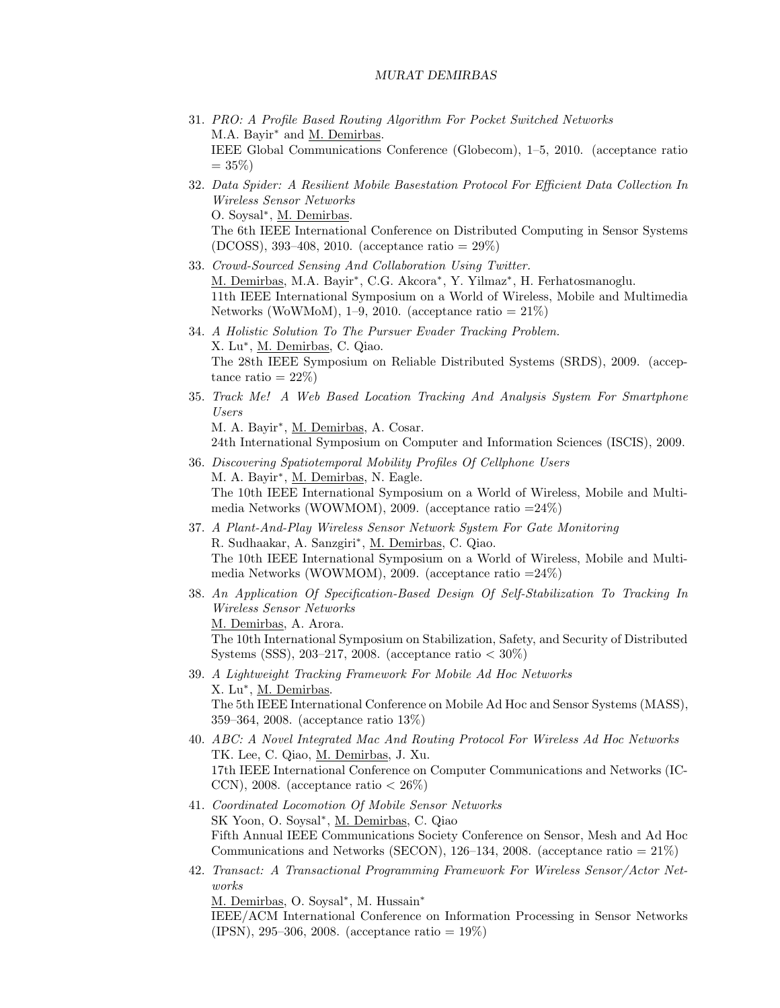- 31. PRO: A Profile Based Routing Algorithm For Pocket Switched Networks M.A. Bayir<sup>\*</sup> and <u>M. Demirbas</u>. IEEE Global Communications Conference (Globecom), 1–5, 2010. (acceptance ratio  $= 35\%$
- 32. Data Spider: A Resilient Mobile Basestation Protocol For Efficient Data Collection In Wireless Sensor Networks O. Soysal<sup>∗</sup> , M. Demirbas. The 6th IEEE International Conference on Distributed Computing in Sensor Systems (DCOSS), 393–408, 2010. (acceptance ratio = 29%)
- 33. Crowd-Sourced Sensing And Collaboration Using Twitter. M. Demirbas, M.A. Bayir<sup>\*</sup>, C.G. Akcora<sup>\*</sup>, Y. Yilmaz<sup>\*</sup>, H. Ferhatosmanoglu. 11th IEEE International Symposium on a World of Wireless, Mobile and Multimedia Networks (WoWMoM), 1–9, 2010. (acceptance ratio  $= 21\%$ )
- 34. A Holistic Solution To The Pursuer Evader Tracking Problem. X. Lu<sup>\*</sup>, <u>M. Demirbas</u>, C. Qiao. The 28th IEEE Symposium on Reliable Distributed Systems (SRDS), 2009. (acceptance ratio  $= 22\%)$
- 35. Track Me! A Web Based Location Tracking And Analysis System For Smartphone Users

M. A. Bayir<sup>\*</sup>, M. Demirbas, A. Cosar.

24th International Symposium on Computer and Information Sciences (ISCIS), 2009.

- 36. Discovering Spatiotemporal Mobility Profiles Of Cellphone Users M. A. Bayir<sup>\*</sup>, M. Demirbas, N. Eagle. The 10th IEEE International Symposium on a World of Wireless, Mobile and Multimedia Networks (WOWMOM), 2009. (acceptance ratio =24%)
- 37. A Plant-And-Play Wireless Sensor Network System For Gate Monitoring R. Sudhaakar, A. Sanzgiri<sup>\*</sup>, M. Demirbas, C. Qiao. The 10th IEEE International Symposium on a World of Wireless, Mobile and Multimedia Networks (WOWMOM), 2009. (acceptance ratio  $=24\%$ )
- 38. An Application Of Specification-Based Design Of Self-Stabilization To Tracking In Wireless Sensor Networks M. Demirbas, A. Arora. The 10th International Symposium on Stabilization, Safety, and Security of Distributed Systems (SSS), 203–217, 2008. (acceptance ratio  $<$  30%)
- 39. A Lightweight Tracking Framework For Mobile Ad Hoc Networks X. Lu<sup>\*</sup>, <u>M. Demirbas</u>. The 5th IEEE International Conference on Mobile Ad Hoc and Sensor Systems (MASS), 359–364, 2008. (acceptance ratio 13%)
- 40. ABC: A Novel Integrated Mac And Routing Protocol For Wireless Ad Hoc Networks TK. Lee, C. Qiao, M. Demirbas, J. Xu. 17th IEEE International Conference on Computer Communications and Networks (IC-CCN), 2008. (acceptance ratio  $< 26\%$ )
- 41. Coordinated Locomotion Of Mobile Sensor Networks SK Yoon, O. Soysal<sup>∗</sup>, M. Demirbas, C. Qiao Fifth Annual IEEE Communications Society Conference on Sensor, Mesh and Ad Hoc Communications and Networks (SECON), 126–134, 2008. (acceptance ratio = 21%)
- 42. Transact: A Transactional Programming Framework For Wireless Sensor/Actor Networks

M. Demirbas, O. Soysal<sup>\*</sup>, M. Hussain<sup>\*</sup>

IEEE/ACM International Conference on Information Processing in Sensor Networks (IPSN), 295–306, 2008. (acceptance ratio = 19%)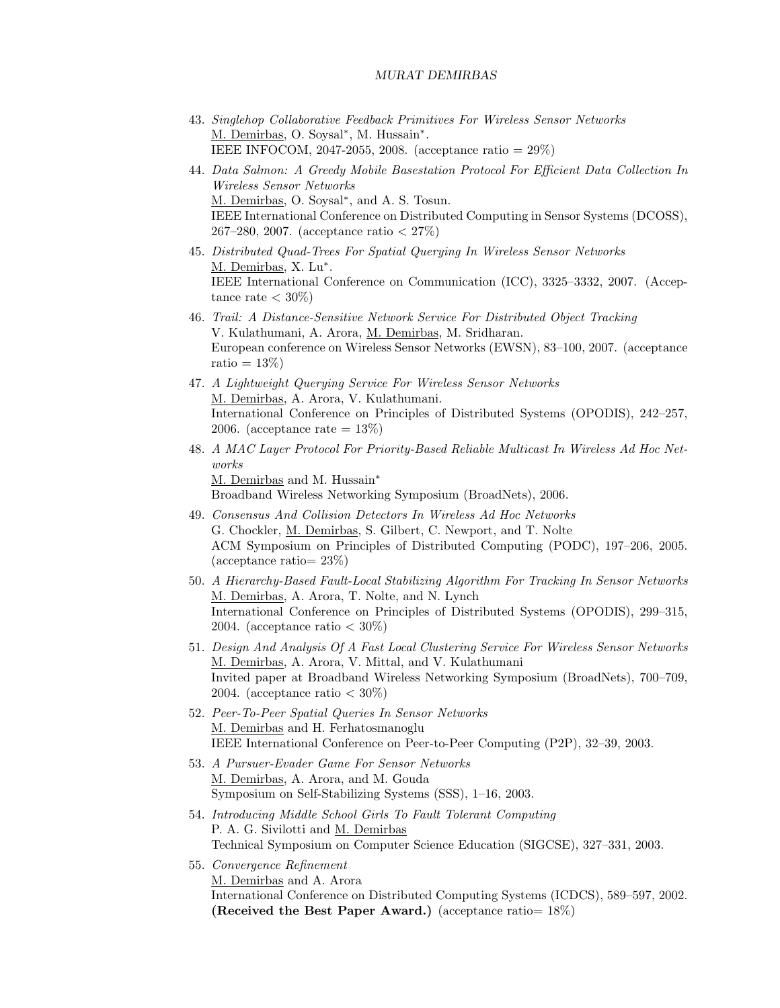- 43. Singlehop Collaborative Feedback Primitives For Wireless Sensor Networks M. Demirbas, O. Soysal<sup>\*</sup>, M. Hussain<sup>\*</sup>. IEEE INFOCOM, 2047-2055, 2008. (acceptance ratio = 29%)
- 44. Data Salmon: A Greedy Mobile Basestation Protocol For Efficient Data Collection In Wireless Sensor Networks M. Demirbas, O. Soysal<sup>\*</sup>, and A. S. Tosun. IEEE International Conference on Distributed Computing in Sensor Systems (DCOSS), 267–280, 2007. (acceptance ratio < 27%)
- 45. Distributed Quad-Trees For Spatial Querying In Wireless Sensor Networks M. Demirbas, X. Lu<sup>\*</sup>. IEEE International Conference on Communication (ICC), 3325–3332, 2007. (Acceptance rate  $<$  30%)
- 46. Trail: A Distance-Sensitive Network Service For Distributed Object Tracking V. Kulathumani, A. Arora, M. Demirbas, M. Sridharan. European conference on Wireless Sensor Networks (EWSN), 83–100, 2007. (acceptance ratio  $= 13\%$
- 47. A Lightweight Querying Service For Wireless Sensor Networks M. Demirbas, A. Arora, V. Kulathumani. International Conference on Principles of Distributed Systems (OPODIS), 242–257, 2006. (acceptance rate  $= 13\%$ )
- 48. A MAC Layer Protocol For Priority-Based Reliable Multicast In Wireless Ad Hoc Networks M. Demirbas and M. Hussain<sup>\*</sup> Broadband Wireless Networking Symposium (BroadNets), 2006.
- 49. Consensus And Collision Detectors In Wireless Ad Hoc Networks G. Chockler, M. Demirbas, S. Gilbert, C. Newport, and T. Nolte ACM Symposium on Principles of Distributed Computing (PODC), 197–206, 2005. (acceptance ratio= 23%)
- 50. A Hierarchy-Based Fault-Local Stabilizing Algorithm For Tracking In Sensor Networks M. Demirbas, A. Arora, T. Nolte, and N. Lynch International Conference on Principles of Distributed Systems (OPODIS), 299–315, 2004. (acceptance ratio  $<$  30%)
- 51. Design And Analysis Of A Fast Local Clustering Service For Wireless Sensor Networks M. Demirbas, A. Arora, V. Mittal, and V. Kulathumani Invited paper at Broadband Wireless Networking Symposium (BroadNets), 700–709, 2004. (acceptance ratio  $<$  30%)
- 52. Peer-To-Peer Spatial Queries In Sensor Networks M. Demirbas and H. Ferhatosmanoglu IEEE International Conference on Peer-to-Peer Computing (P2P), 32–39, 2003.
- 53. A Pursuer-Evader Game For Sensor Networks M. Demirbas, A. Arora, and M. Gouda Symposium on Self-Stabilizing Systems (SSS), 1–16, 2003.
- 54. Introducing Middle School Girls To Fault Tolerant Computing P. A. G. Sivilotti and M. Demirbas Technical Symposium on Computer Science Education (SIGCSE), 327–331, 2003.
- 55. Convergence Refinement M. Demirbas and A. Arora International Conference on Distributed Computing Systems (ICDCS), 589–597, 2002. (Received the Best Paper Award.) (acceptance ratio= 18%)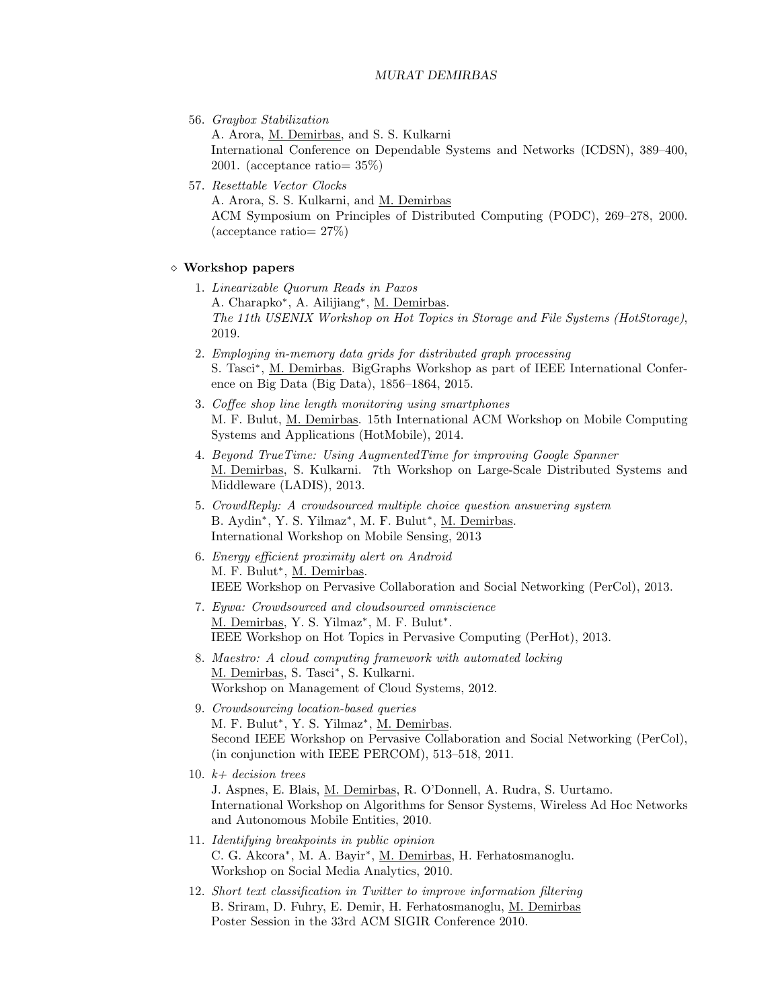56. Graybox Stabilization

A. Arora, M. Demirbas, and S. S. Kulkarni International Conference on Dependable Systems and Networks (ICDSN), 389–400, 2001. (acceptance ratio= 35%)

57. Resettable Vector Clocks A. Arora, S. S. Kulkarni, and M. Demirbas ACM Symposium on Principles of Distributed Computing (PODC), 269–278, 2000. (acceptance ratio= 27%)

# Workshop papers

- 1. Linearizable Quorum Reads in Paxos A. Charapko<sup>∗</sup> , A. Ailijiang<sup>∗</sup> , M. Demirbas. The 11th USENIX Workshop on Hot Topics in Storage and File Systems (HotStorage), 2019.
- 2. Employing in-memory data grids for distributed graph processing S. Tasci<sup>\*</sup>, M. Demirbas. BigGraphs Workshop as part of IEEE International Conference on Big Data (Big Data), 1856–1864, 2015.
- 3. Coffee shop line length monitoring using smartphones M. F. Bulut, M. Demirbas. 15th International ACM Workshop on Mobile Computing Systems and Applications (HotMobile), 2014.
- 4. Beyond TrueTime: Using AugmentedTime for improving Google Spanner M. Demirbas, S. Kulkarni. 7th Workshop on Large-Scale Distributed Systems and Middleware (LADIS), 2013.
- 5. CrowdReply: A crowdsourced multiple choice question answering system B. Aydin<sup>\*</sup>, Y. S. Yilmaz<sup>\*</sup>, M. F. Bulut<sup>\*</sup>, <u>M. Demirbas</u>. International Workshop on Mobile Sensing, 2013
- 6. Energy efficient proximity alert on Android M. F. Bulut<sup>\*</sup>, M. Demirbas. IEEE Workshop on Pervasive Collaboration and Social Networking (PerCol), 2013.
- 7. Eywa: Crowdsourced and cloudsourced omniscience M. Demirbas, Y. S. Yilmaz<sup>\*</sup>, M. F. Bulut<sup>\*</sup>. IEEE Workshop on Hot Topics in Pervasive Computing (PerHot), 2013.
- 8. Maestro: A cloud computing framework with automated locking M. Demirbas, S. Tasci<sup>\*</sup>, S. Kulkarni. Workshop on Management of Cloud Systems, 2012.
- 9. Crowdsourcing location-based queries M. F. Bulut<sup>\*</sup>, Y. S. Yilmaz<sup>\*</sup>, <u>M. Demirbas</u>. Second IEEE Workshop on Pervasive Collaboration and Social Networking (PerCol), (in conjunction with IEEE PERCOM), 513–518, 2011.
- 10.  $k+$  decision trees J. Aspnes, E. Blais, M. Demirbas, R. O'Donnell, A. Rudra, S. Uurtamo. International Workshop on Algorithms for Sensor Systems, Wireless Ad Hoc Networks and Autonomous Mobile Entities, 2010.
- 11. Identifying breakpoints in public opinion C. G. Akcora<sup>\*</sup>, M. A. Bayir<sup>\*</sup>, <u>M. Demirbas</u>, H. Ferhatosmanoglu. Workshop on Social Media Analytics, 2010.
- 12. Short text classification in Twitter to improve information filtering B. Sriram, D. Fuhry, E. Demir, H. Ferhatosmanoglu, M. Demirbas Poster Session in the 33rd ACM SIGIR Conference 2010.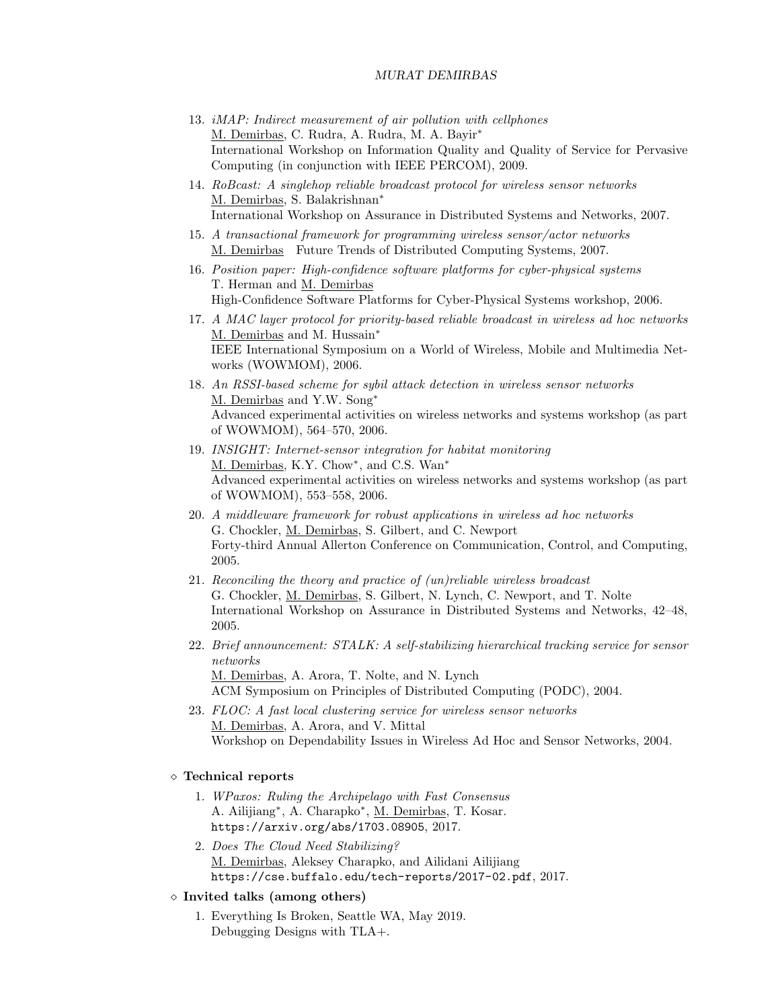- 13. iMAP: Indirect measurement of air pollution with cellphones M. Demirbas, C. Rudra, A. Rudra, M. A. Bayir<sup>∗</sup> International Workshop on Information Quality and Quality of Service for Pervasive Computing (in conjunction with IEEE PERCOM), 2009.
- 14. RoBcast: A singlehop reliable broadcast protocol for wireless sensor networks M. Demirbas, S. Balakrishnan<sup>∗</sup> International Workshop on Assurance in Distributed Systems and Networks, 2007.
- 15. A transactional framework for programming wireless sensor/actor networks M. Demirbas Future Trends of Distributed Computing Systems, 2007.
- 16. Position paper: High-confidence software platforms for cyber-physical systems T. Herman and M. Demirbas High-Confidence Software Platforms for Cyber-Physical Systems workshop, 2006.
- 17. A MAC layer protocol for priority-based reliable broadcast in wireless ad hoc networks M. Demirbas and M. Hussain<sup>∗</sup> IEEE International Symposium on a World of Wireless, Mobile and Multimedia Networks (WOWMOM), 2006.
- 18. An RSSI-based scheme for sybil attack detection in wireless sensor networks M. Demirbas and Y.W. Song<sup>∗</sup> Advanced experimental activities on wireless networks and systems workshop (as part of WOWMOM), 564–570, 2006.
- 19. INSIGHT: Internet-sensor integration for habitat monitoring M. Demirbas, K.Y. Chow<sup>\*</sup>, and C.S. Wan<sup>\*</sup> Advanced experimental activities on wireless networks and systems workshop (as part of WOWMOM), 553–558, 2006.
- 20. A middleware framework for robust applications in wireless ad hoc networks G. Chockler, M. Demirbas, S. Gilbert, and C. Newport Forty-third Annual Allerton Conference on Communication, Control, and Computing, 2005.
- 21. Reconciling the theory and practice of (un)reliable wireless broadcast G. Chockler, M. Demirbas, S. Gilbert, N. Lynch, C. Newport, and T. Nolte International Workshop on Assurance in Distributed Systems and Networks, 42–48, 2005.
- 22. Brief announcement: STALK: A self-stabilizing hierarchical tracking service for sensor networks M. Demirbas, A. Arora, T. Nolte, and N. Lynch ACM Symposium on Principles of Distributed Computing (PODC), 2004.
- 23. FLOC: A fast local clustering service for wireless sensor networks M. Demirbas, A. Arora, and V. Mittal Workshop on Dependability Issues in Wireless Ad Hoc and Sensor Networks, 2004.

# Technical reports

- 1. WPaxos: Ruling the Archipelago with Fast Consensus A. Ailijiang<sup>\*</sup>, A. Charapko<sup>\*</sup>, <u>M. Demirbas</u>, T. Kosar. https://arxiv.org/abs/1703.08905, 2017.
- 2. Does The Cloud Need Stabilizing? M. Demirbas, Aleksey Charapko, and Ailidani Ailijiang https://cse.buffalo.edu/tech-reports/2017-02.pdf, 2017.

#### $\diamond$  Invited talks (among others)

1. Everything Is Broken, Seattle WA, May 2019. Debugging Designs with TLA+.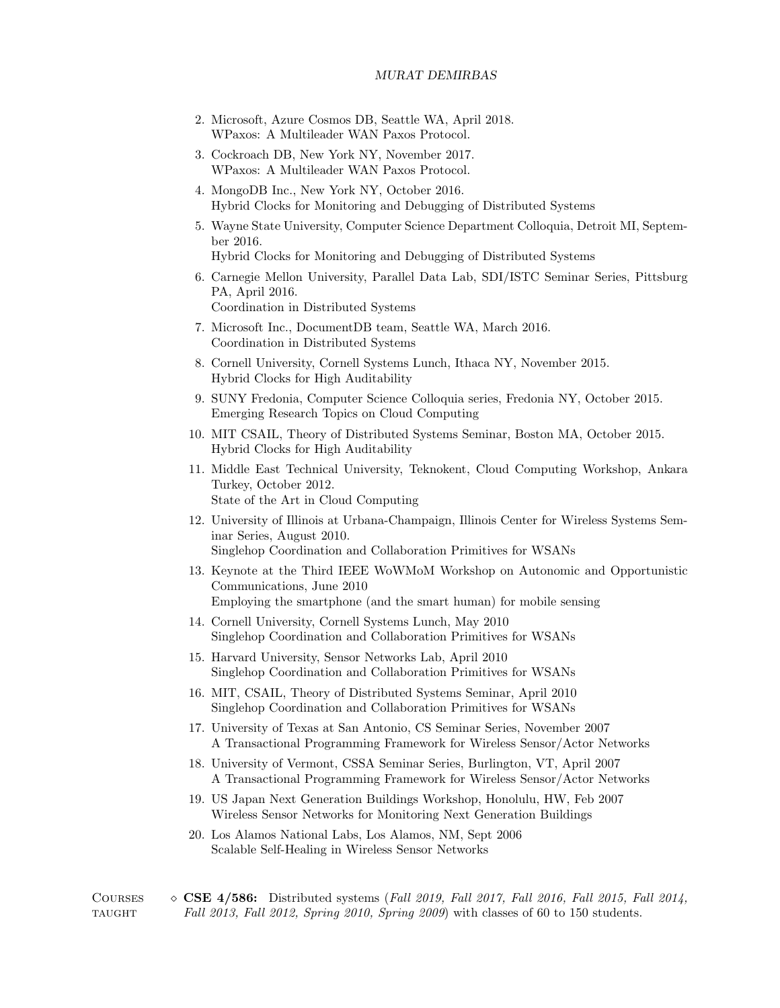- 2. Microsoft, Azure Cosmos DB, Seattle WA, April 2018. WPaxos: A Multileader WAN Paxos Protocol.
- 3. Cockroach DB, New York NY, November 2017. WPaxos: A Multileader WAN Paxos Protocol.
- 4. MongoDB Inc., New York NY, October 2016. Hybrid Clocks for Monitoring and Debugging of Distributed Systems
- 5. Wayne State University, Computer Science Department Colloquia, Detroit MI, September 2016.

Hybrid Clocks for Monitoring and Debugging of Distributed Systems

- 6. Carnegie Mellon University, Parallel Data Lab, SDI/ISTC Seminar Series, Pittsburg PA, April 2016. Coordination in Distributed Systems
- 7. Microsoft Inc., DocumentDB team, Seattle WA, March 2016. Coordination in Distributed Systems
- 8. Cornell University, Cornell Systems Lunch, Ithaca NY, November 2015. Hybrid Clocks for High Auditability
- 9. SUNY Fredonia, Computer Science Colloquia series, Fredonia NY, October 2015. Emerging Research Topics on Cloud Computing
- 10. MIT CSAIL, Theory of Distributed Systems Seminar, Boston MA, October 2015. Hybrid Clocks for High Auditability
- 11. Middle East Technical University, Teknokent, Cloud Computing Workshop, Ankara Turkey, October 2012. State of the Art in Cloud Computing
- 12. University of Illinois at Urbana-Champaign, Illinois Center for Wireless Systems Seminar Series, August 2010. Singlehop Coordination and Collaboration Primitives for WSANs
- 13. Keynote at the Third IEEE WoWMoM Workshop on Autonomic and Opportunistic Communications, June 2010 Employing the smartphone (and the smart human) for mobile sensing
- 14. Cornell University, Cornell Systems Lunch, May 2010 Singlehop Coordination and Collaboration Primitives for WSANs
- 15. Harvard University, Sensor Networks Lab, April 2010 Singlehop Coordination and Collaboration Primitives for WSANs
- 16. MIT, CSAIL, Theory of Distributed Systems Seminar, April 2010 Singlehop Coordination and Collaboration Primitives for WSANs
- 17. University of Texas at San Antonio, CS Seminar Series, November 2007 A Transactional Programming Framework for Wireless Sensor/Actor Networks
- 18. University of Vermont, CSSA Seminar Series, Burlington, VT, April 2007 A Transactional Programming Framework for Wireless Sensor/Actor Networks
- 19. US Japan Next Generation Buildings Workshop, Honolulu, HW, Feb 2007 Wireless Sensor Networks for Monitoring Next Generation Buildings
- 20. Los Alamos National Labs, Los Alamos, NM, Sept 2006 Scalable Self-Healing in Wireless Sensor Networks

COURSES  $\diamond$  CSE 4/586: Distributed systems (Fall 2019, Fall 2017, Fall 2016, Fall 2015, Fall 2014, taught Fall 2013, Fall 2012, Spring 2010, Spring 2009) with classes of 60 to 150 students.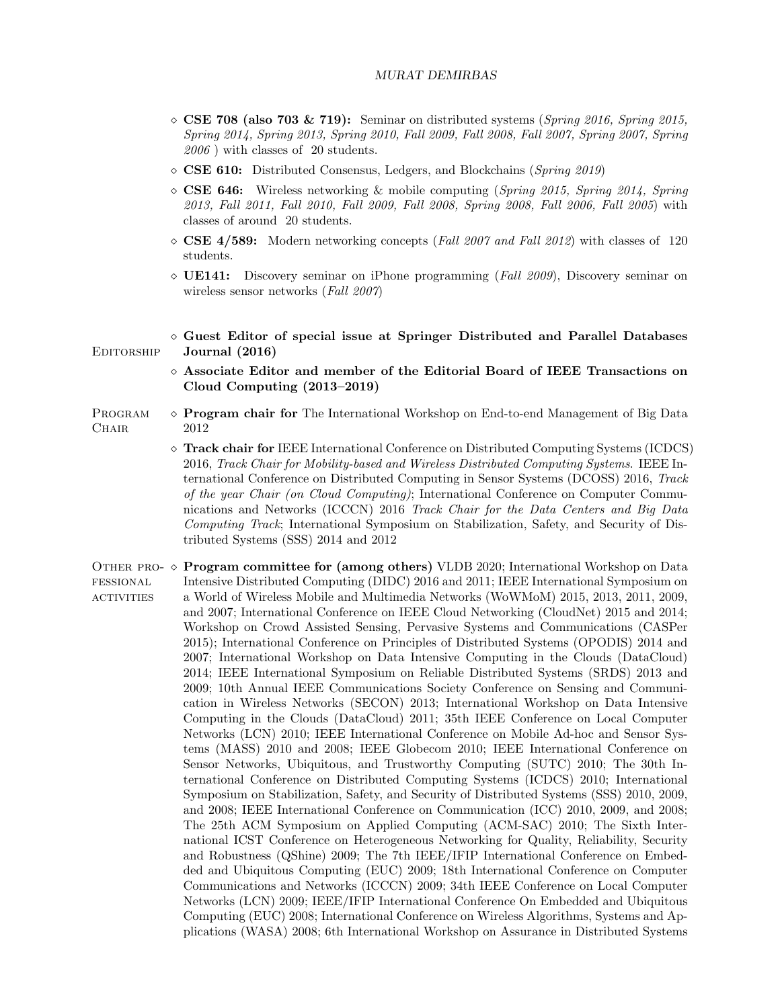- $\circ$  CSE 708 (also 703 & 719): Seminar on distributed systems (Spring 2016, Spring 2015, Spring 2014, Spring 2013, Spring 2010, Fall 2009, Fall 2008, Fall 2007, Spring 2007, Spring 2006 ) with classes of 20 students.
- $\Diamond$  **CSE 610:** Distributed Consensus, Ledgers, and Blockchains (*Spring 2019*)
- $\Diamond$  **CSE 646:** Wireless networking & mobile computing (Spring 2015, Spring 2014, Spring 2013, Fall 2011, Fall 2010, Fall 2009, Fall 2008, Spring 2008, Fall 2006, Fall 2005) with classes of around 20 students.
- $\Diamond$  CSE 4/589: Modern networking concepts (Fall 2007 and Fall 2012) with classes of 120 students.
- $\Diamond$  UE141: Discovery seminar on iPhone programming (*Fall 2009*), Discovery seminar on wireless sensor networks (Fall 2007)
- $\Diamond$  Guest Editor of special issue at Springer Distributed and Parallel Databases EDITORSHIP **Journal** (2016)
	- $\diamond$  Associate Editor and member of the Editorial Board of IEEE Transactions on Cloud Computing (2013–2019)
- PROGRAM  $\diamond$  **Program chair for** The International Workshop on End-to-end Management of Big Data CHAIR 2012
	- Track chair for IEEE International Conference on Distributed Computing Systems (ICDCS) 2016, Track Chair for Mobility-based and Wireless Distributed Computing Systems. IEEE International Conference on Distributed Computing in Sensor Systems (DCOSS) 2016, Track of the year Chair (on Cloud Computing); International Conference on Computer Communications and Networks (ICCCN) 2016 Track Chair for the Data Centers and Big Data Computing Track; International Symposium on Stabilization, Safety, and Security of Distributed Systems (SSS) 2014 and 2012
- OTHER PRO-  $\diamond$  **Program committee for (among others)** VLDB 2020; International Workshop on Data fessional **ACTIVITIES** Intensive Distributed Computing (DIDC) 2016 and 2011; IEEE International Symposium on a World of Wireless Mobile and Multimedia Networks (WoWMoM) 2015, 2013, 2011, 2009, and 2007; International Conference on IEEE Cloud Networking (CloudNet) 2015 and 2014; Workshop on Crowd Assisted Sensing, Pervasive Systems and Communications (CASPer 2015); International Conference on Principles of Distributed Systems (OPODIS) 2014 and 2007; International Workshop on Data Intensive Computing in the Clouds (DataCloud) 2014; IEEE International Symposium on Reliable Distributed Systems (SRDS) 2013 and 2009; 10th Annual IEEE Communications Society Conference on Sensing and Communication in Wireless Networks (SECON) 2013; International Workshop on Data Intensive Computing in the Clouds (DataCloud) 2011; 35th IEEE Conference on Local Computer Networks (LCN) 2010; IEEE International Conference on Mobile Ad-hoc and Sensor Systems (MASS) 2010 and 2008; IEEE Globecom 2010; IEEE International Conference on Sensor Networks, Ubiquitous, and Trustworthy Computing (SUTC) 2010; The 30th International Conference on Distributed Computing Systems (ICDCS) 2010; International Symposium on Stabilization, Safety, and Security of Distributed Systems (SSS) 2010, 2009, and 2008; IEEE International Conference on Communication (ICC) 2010, 2009, and 2008; The 25th ACM Symposium on Applied Computing (ACM-SAC) 2010; The Sixth International ICST Conference on Heterogeneous Networking for Quality, Reliability, Security and Robustness (QShine) 2009; The 7th IEEE/IFIP International Conference on Embedded and Ubiquitous Computing (EUC) 2009; 18th International Conference on Computer Communications and Networks (ICCCN) 2009; 34th IEEE Conference on Local Computer Networks (LCN) 2009; IEEE/IFIP International Conference On Embedded and Ubiquitous Computing (EUC) 2008; International Conference on Wireless Algorithms, Systems and Applications (WASA) 2008; 6th International Workshop on Assurance in Distributed Systems